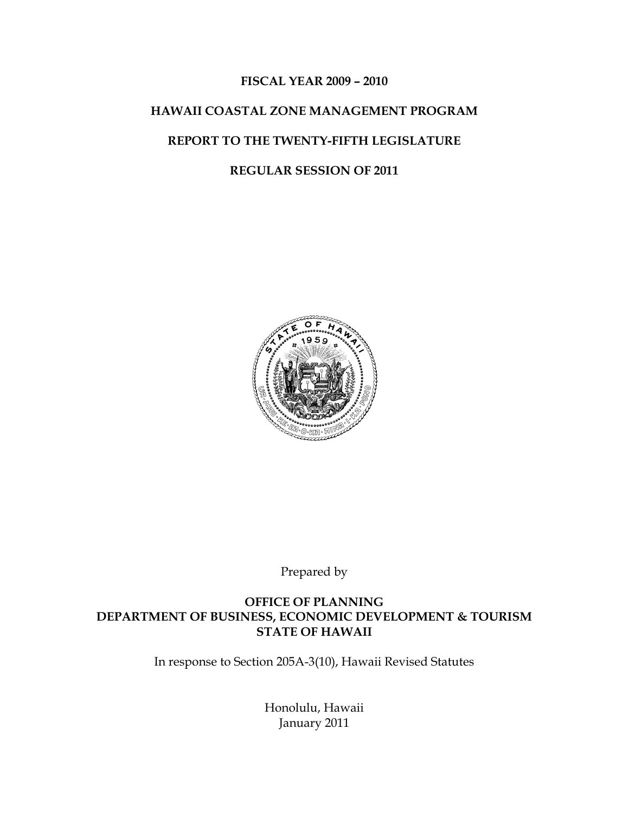#### **FISCAL YEAR 2009 – 2010**

## **HAWAII COASTAL ZONE MANAGEMENT PROGRAM**

#### **REPORT TO THE TWENTY-FIFTH LEGISLATURE**

#### **REGULAR SESSION OF 2011**



Prepared by

#### **OFFICE OF PLANNING DEPARTMENT OF BUSINESS, ECONOMIC DEVELOPMENT & TOURISM STATE OF HAWAII**

In response to Section 205A-3(10), Hawaii Revised Statutes

Honolulu, Hawaii January 2011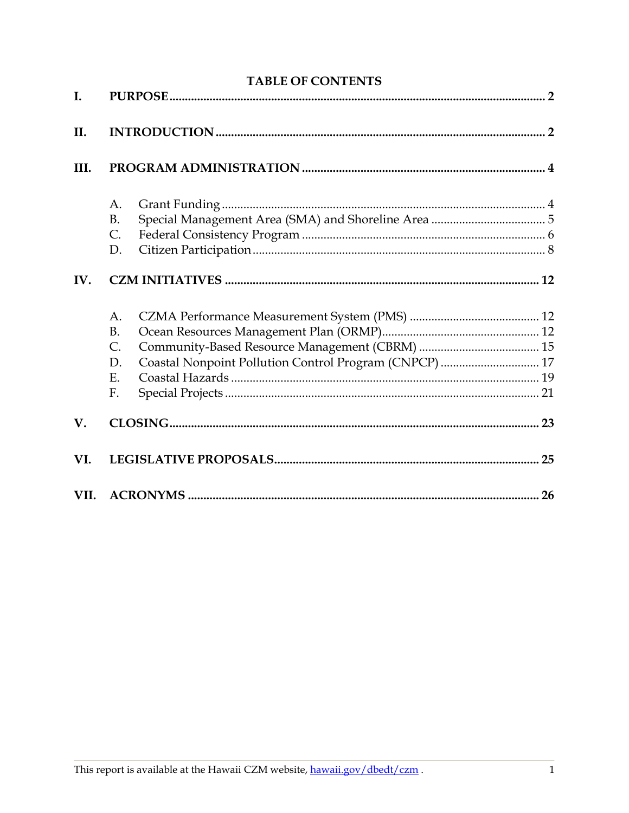| <b>TABLE OF CONTENTS</b> |                                                              |  |  |
|--------------------------|--------------------------------------------------------------|--|--|
| I.                       |                                                              |  |  |
| II.                      |                                                              |  |  |
| III.                     |                                                              |  |  |
|                          | A.                                                           |  |  |
|                          | <b>B.</b>                                                    |  |  |
|                          | C.                                                           |  |  |
|                          | D.                                                           |  |  |
| IV.                      |                                                              |  |  |
|                          | A.                                                           |  |  |
|                          | <b>B.</b>                                                    |  |  |
|                          | C.                                                           |  |  |
|                          | Coastal Nonpoint Pollution Control Program (CNPCP)  17<br>D. |  |  |
|                          | Ε.                                                           |  |  |
|                          | F.                                                           |  |  |
| V.                       |                                                              |  |  |
| VI.                      |                                                              |  |  |
| VII.                     |                                                              |  |  |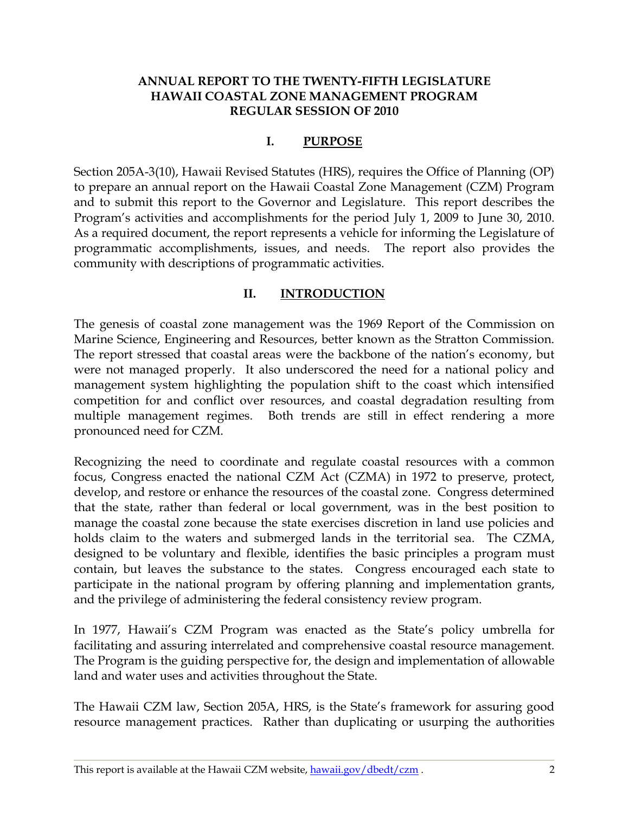#### **ANNUAL REPORT TO THE TWENTY-FIFTH LEGISLATURE HAWAII COASTAL ZONE MANAGEMENT PROGRAM REGULAR SESSION OF 2010**

### **I. PURPOSE**

<span id="page-2-0"></span>Section 205A-3(10), Hawaii Revised Statutes (HRS), requires the Office of Planning (OP) to prepare an annual report on the Hawaii Coastal Zone Management (CZM) Program and to submit this report to the Governor and Legislature. This report describes the Program's activities and accomplishments for the period July 1, 2009 to June 30, 2010. As a required document, the report represents a vehicle for informing the Legislature of programmatic accomplishments, issues, and needs. The report also provides the community with descriptions of programmatic activities.

### **II. INTRODUCTION**

<span id="page-2-1"></span>The genesis of coastal zone management was the 1969 Report of the Commission on Marine Science, Engineering and Resources, better known as the Stratton Commission. The report stressed that coastal areas were the backbone of the nation's economy, but were not managed properly. It also underscored the need for a national policy and management system highlighting the population shift to the coast which intensified competition for and conflict over resources, and coastal degradation resulting from multiple management regimes. Both trends are still in effect rendering a more pronounced need for CZM.

Recognizing the need to coordinate and regulate coastal resources with a common focus, Congress enacted the national CZM Act (CZMA) in 1972 to preserve, protect, develop, and restore or enhance the resources of the coastal zone. Congress determined that the state, rather than federal or local government, was in the best position to manage the coastal zone because the state exercises discretion in land use policies and holds claim to the waters and submerged lands in the territorial sea. The CZMA, designed to be voluntary and flexible, identifies the basic principles a program must contain, but leaves the substance to the states. Congress encouraged each state to participate in the national program by offering planning and implementation grants, and the privilege of administering the federal consistency review program.

In 1977, Hawaii's CZM Program was enacted as the State's policy umbrella for facilitating and assuring interrelated and comprehensive coastal resource management. The Program is the guiding perspective for, the design and implementation of allowable land and water uses and activities throughout the State.

The Hawaii CZM law, Section 205A, HRS, is the State's framework for assuring good resource management practices. Rather than duplicating or usurping the authorities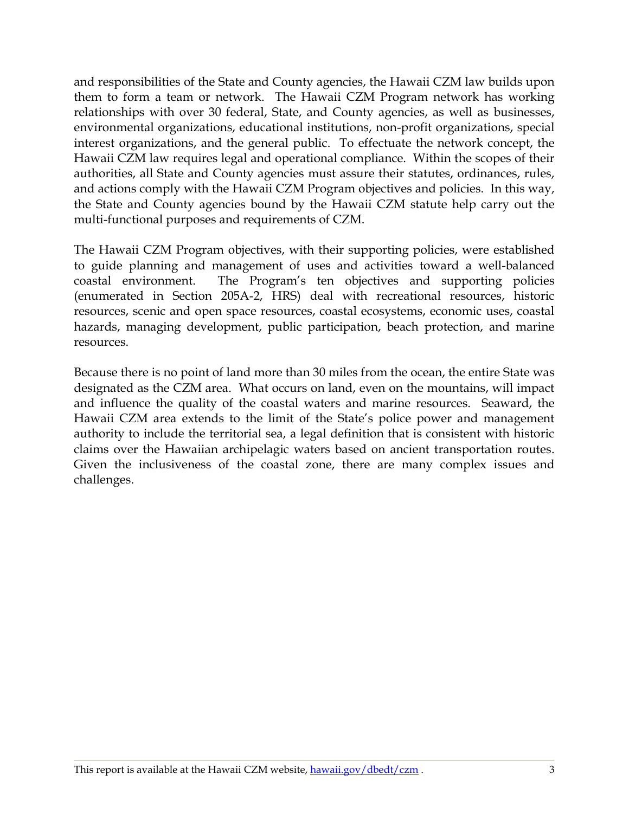and responsibilities of the State and County agencies, the Hawaii CZM law builds upon them to form a team or network. The Hawaii CZM Program network has working relationships with over 30 federal, State, and County agencies, as well as businesses, environmental organizations, educational institutions, non-profit organizations, special interest organizations, and the general public. To effectuate the network concept, the Hawaii CZM law requires legal and operational compliance. Within the scopes of their authorities, all State and County agencies must assure their statutes, ordinances, rules, and actions comply with the Hawaii CZM Program objectives and policies. In this way, the State and County agencies bound by the Hawaii CZM statute help carry out the multi-functional purposes and requirements of CZM.

The Hawaii CZM Program objectives, with their supporting policies, were established to guide planning and management of uses and activities toward a well-balanced coastal environment. The Program"s ten objectives and supporting policies (enumerated in Section 205A-2, HRS) deal with recreational resources, historic resources, scenic and open space resources, coastal ecosystems, economic uses, coastal hazards, managing development, public participation, beach protection, and marine resources.

Because there is no point of land more than 30 miles from the ocean, the entire State was designated as the CZM area. What occurs on land, even on the mountains, will impact and influence the quality of the coastal waters and marine resources. Seaward, the Hawaii CZM area extends to the limit of the State"s police power and management authority to include the territorial sea, a legal definition that is consistent with historic claims over the Hawaiian archipelagic waters based on ancient transportation routes. Given the inclusiveness of the coastal zone, there are many complex issues and challenges.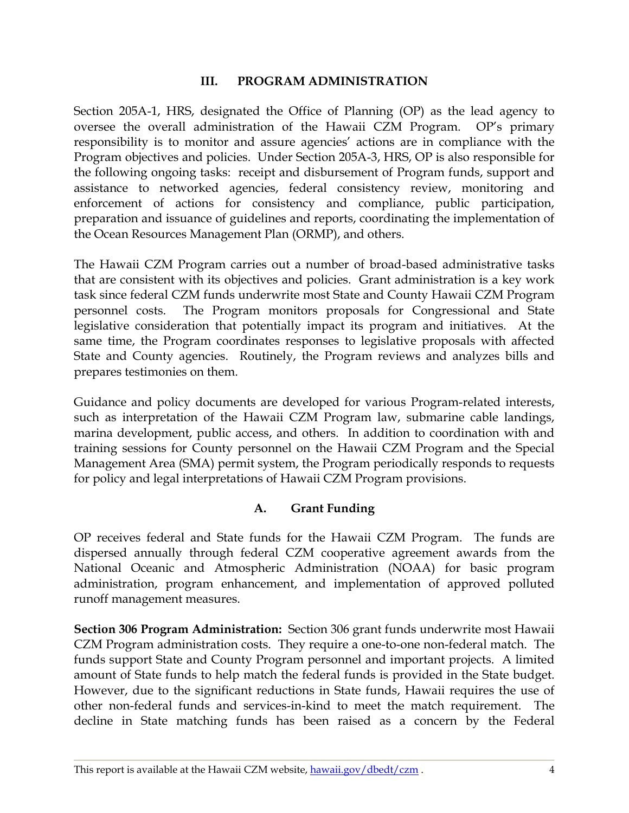#### **III. PROGRAM ADMINISTRATION**

<span id="page-4-0"></span>Section 205A-1, HRS, designated the Office of Planning (OP) as the lead agency to oversee the overall administration of the Hawaii CZM Program. OP"s primary responsibility is to monitor and assure agencies' actions are in compliance with the Program objectives and policies. Under Section 205A-3, HRS, OP is also responsible for the following ongoing tasks: receipt and disbursement of Program funds, support and assistance to networked agencies, federal consistency review, monitoring and enforcement of actions for consistency and compliance, public participation, preparation and issuance of guidelines and reports, coordinating the implementation of the Ocean Resources Management Plan (ORMP), and others.

The Hawaii CZM Program carries out a number of broad-based administrative tasks that are consistent with its objectives and policies. Grant administration is a key work task since federal CZM funds underwrite most State and County Hawaii CZM Program personnel costs. The Program monitors proposals for Congressional and State legislative consideration that potentially impact its program and initiatives. At the same time, the Program coordinates responses to legislative proposals with affected State and County agencies. Routinely, the Program reviews and analyzes bills and prepares testimonies on them.

Guidance and policy documents are developed for various Program-related interests, such as interpretation of the Hawaii CZM Program law, submarine cable landings, marina development, public access, and others. In addition to coordination with and training sessions for County personnel on the Hawaii CZM Program and the Special Management Area (SMA) permit system, the Program periodically responds to requests for policy and legal interpretations of Hawaii CZM Program provisions.

## **A. Grant Funding**

<span id="page-4-1"></span>OP receives federal and State funds for the Hawaii CZM Program. The funds are dispersed annually through federal CZM cooperative agreement awards from the National Oceanic and Atmospheric Administration (NOAA) for basic program administration, program enhancement, and implementation of approved polluted runoff management measures.

**Section 306 Program Administration:** Section 306 grant funds underwrite most Hawaii CZM Program administration costs. They require a one-to-one non-federal match. The funds support State and County Program personnel and important projects. A limited amount of State funds to help match the federal funds is provided in the State budget. However, due to the significant reductions in State funds, Hawaii requires the use of other non-federal funds and services-in-kind to meet the match requirement. The decline in State matching funds has been raised as a concern by the Federal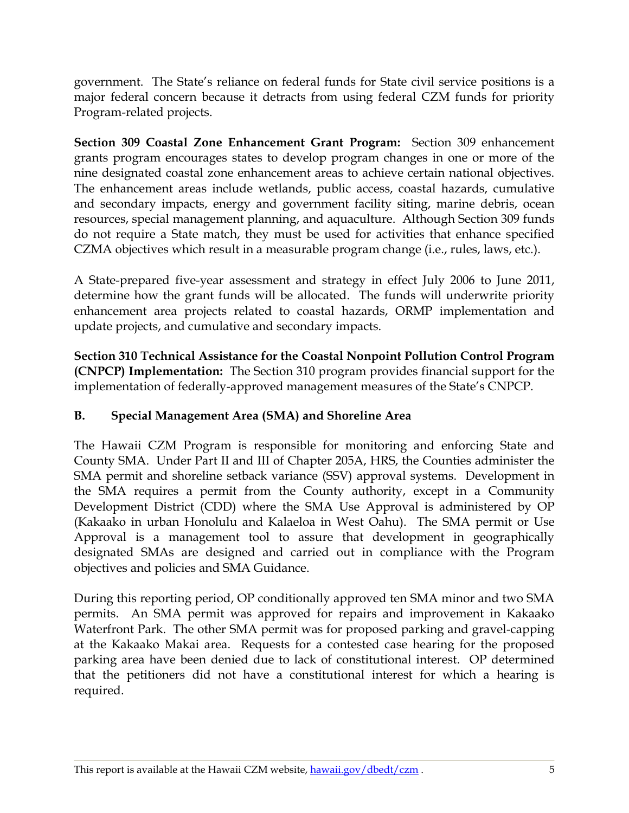government. The State"s reliance on federal funds for State civil service positions is a major federal concern because it detracts from using federal CZM funds for priority Program-related projects.

**Section 309 Coastal Zone Enhancement Grant Program:** Section 309 enhancement grants program encourages states to develop program changes in one or more of the nine designated coastal zone enhancement areas to achieve certain national objectives. The enhancement areas include wetlands, public access, coastal hazards, cumulative and secondary impacts, energy and government facility siting, marine debris, ocean resources, special management planning, and aquaculture. Although Section 309 funds do not require a State match, they must be used for activities that enhance specified CZMA objectives which result in a measurable program change (i.e., rules, laws, etc.).

A State-prepared five-year assessment and strategy in effect July 2006 to June 2011, determine how the grant funds will be allocated. The funds will underwrite priority enhancement area projects related to coastal hazards, ORMP implementation and update projects, and cumulative and secondary impacts.

**Section 310 Technical Assistance for the Coastal Nonpoint Pollution Control Program (CNPCP) Implementation:** The Section 310 program provides financial support for the implementation of federally-approved management measures of the State's CNPCP.

## <span id="page-5-0"></span>**B. Special Management Area (SMA) and Shoreline Area**

The Hawaii CZM Program is responsible for monitoring and enforcing State and County SMA. Under Part II and III of Chapter 205A, HRS, the Counties administer the SMA permit and shoreline setback variance (SSV) approval systems. Development in the SMA requires a permit from the County authority, except in a Community Development District (CDD) where the SMA Use Approval is administered by OP (Kakaako in urban Honolulu and Kalaeloa in West Oahu). The SMA permit or Use Approval is a management tool to assure that development in geographically designated SMAs are designed and carried out in compliance with the Program objectives and policies and SMA Guidance.

During this reporting period, OP conditionally approved ten SMA minor and two SMA permits. An SMA permit was approved for repairs and improvement in Kakaako Waterfront Park. The other SMA permit was for proposed parking and gravel-capping at the Kakaako Makai area. Requests for a contested case hearing for the proposed parking area have been denied due to lack of constitutional interest. OP determined that the petitioners did not have a constitutional interest for which a hearing is required.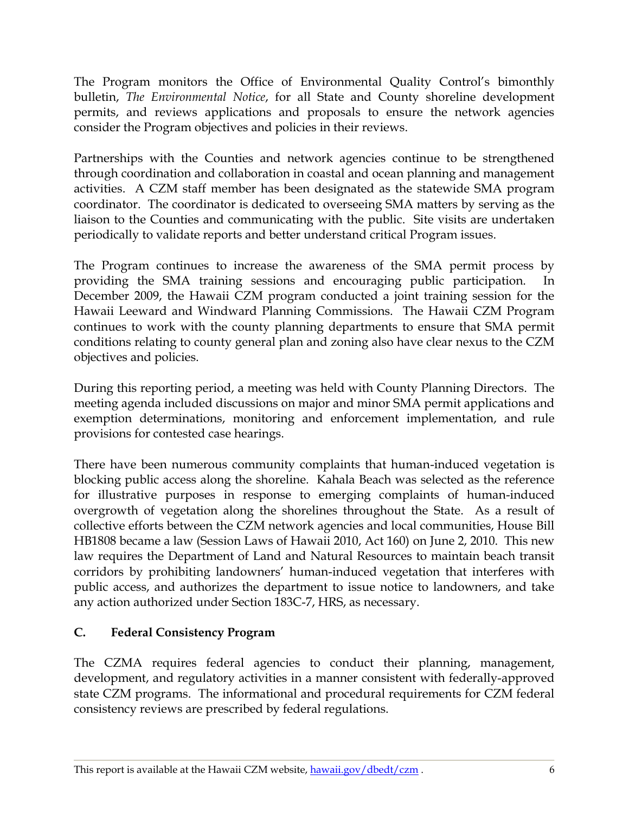The Program monitors the Office of Environmental Quality Control's bimonthly bulletin, *The Environmental Notice*, for all State and County shoreline development permits, and reviews applications and proposals to ensure the network agencies consider the Program objectives and policies in their reviews.

Partnerships with the Counties and network agencies continue to be strengthened through coordination and collaboration in coastal and ocean planning and management activities. A CZM staff member has been designated as the statewide SMA program coordinator. The coordinator is dedicated to overseeing SMA matters by serving as the liaison to the Counties and communicating with the public. Site visits are undertaken periodically to validate reports and better understand critical Program issues.

The Program continues to increase the awareness of the SMA permit process by providing the SMA training sessions and encouraging public participation. In December 2009, the Hawaii CZM program conducted a joint training session for the Hawaii Leeward and Windward Planning Commissions. The Hawaii CZM Program continues to work with the county planning departments to ensure that SMA permit conditions relating to county general plan and zoning also have clear nexus to the CZM objectives and policies.

During this reporting period, a meeting was held with County Planning Directors. The meeting agenda included discussions on major and minor SMA permit applications and exemption determinations, monitoring and enforcement implementation, and rule provisions for contested case hearings.

There have been numerous community complaints that human-induced vegetation is blocking public access along the shoreline. Kahala Beach was selected as the reference for illustrative purposes in response to emerging complaints of human-induced overgrowth of vegetation along the shorelines throughout the State. As a result of collective efforts between the CZM network agencies and local communities, House Bill HB1808 became a law (Session Laws of Hawaii 2010, Act 160) on June 2, 2010. This new law requires the Department of Land and Natural Resources to maintain beach transit corridors by prohibiting landowners' human-induced vegetation that interferes with public access, and authorizes the department to issue notice to landowners, and take any action authorized under Section 183C-7, HRS, as necessary.

## <span id="page-6-0"></span>**C. Federal Consistency Program**

The CZMA requires federal agencies to conduct their planning, management, development, and regulatory activities in a manner consistent with federally-approved state CZM programs. The informational and procedural requirements for CZM federal consistency reviews are prescribed by federal regulations.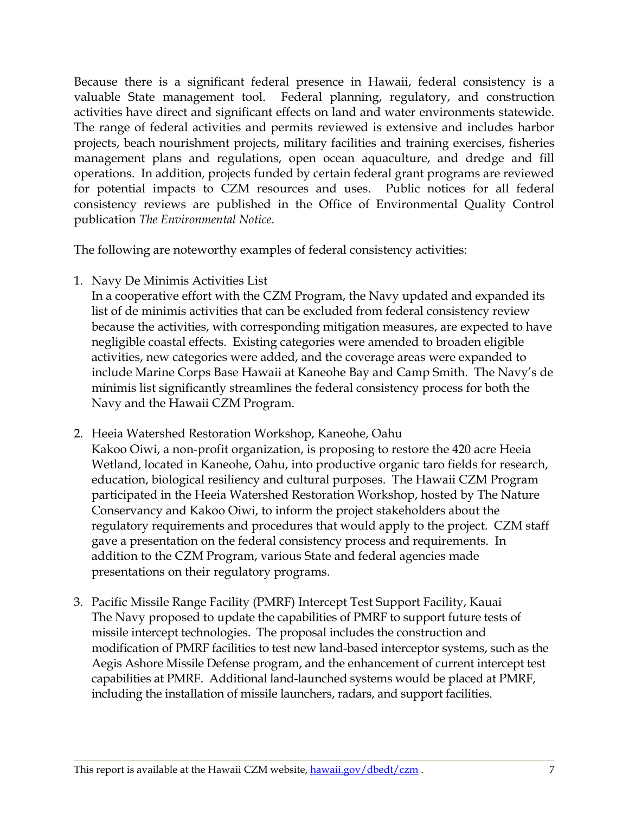Because there is a significant federal presence in Hawaii, federal consistency is a valuable State management tool. Federal planning, regulatory, and construction activities have direct and significant effects on land and water environments statewide. The range of federal activities and permits reviewed is extensive and includes harbor projects, beach nourishment projects, military facilities and training exercises, fisheries management plans and regulations, open ocean aquaculture, and dredge and fill operations. In addition, projects funded by certain federal grant programs are reviewed for potential impacts to CZM resources and uses. Public notices for all federal consistency reviews are published in the Office of Environmental Quality Control publication *The Environmental Notice*.

The following are noteworthy examples of federal consistency activities:

1. Navy De Minimis Activities List

In a cooperative effort with the CZM Program, the Navy updated and expanded its list of de minimis activities that can be excluded from federal consistency review because the activities, with corresponding mitigation measures, are expected to have negligible coastal effects. Existing categories were amended to broaden eligible activities, new categories were added, and the coverage areas were expanded to include Marine Corps Base Hawaii at Kaneohe Bay and Camp Smith. The Navy"s de minimis list significantly streamlines the federal consistency process for both the Navy and the Hawaii CZM Program.

- 2. Heeia Watershed Restoration Workshop, Kaneohe, Oahu Kakoo Oiwi, a non-profit organization, is proposing to restore the 420 acre Heeia Wetland, located in Kaneohe, Oahu, into productive organic taro fields for research, education, biological resiliency and cultural purposes. The Hawaii CZM Program participated in the Heeia Watershed Restoration Workshop, hosted by The Nature Conservancy and Kakoo Oiwi, to inform the project stakeholders about the regulatory requirements and procedures that would apply to the project. CZM staff gave a presentation on the federal consistency process and requirements. In addition to the CZM Program, various State and federal agencies made presentations on their regulatory programs.
- 3. Pacific Missile Range Facility (PMRF) Intercept Test Support Facility, Kauai The Navy proposed to update the capabilities of PMRF to support future tests of missile intercept technologies. The proposal includes the construction and modification of PMRF facilities to test new land-based interceptor systems, such as the Aegis Ashore Missile Defense program, and the enhancement of current intercept test capabilities at PMRF. Additional land-launched systems would be placed at PMRF, including the installation of missile launchers, radars, and support facilities.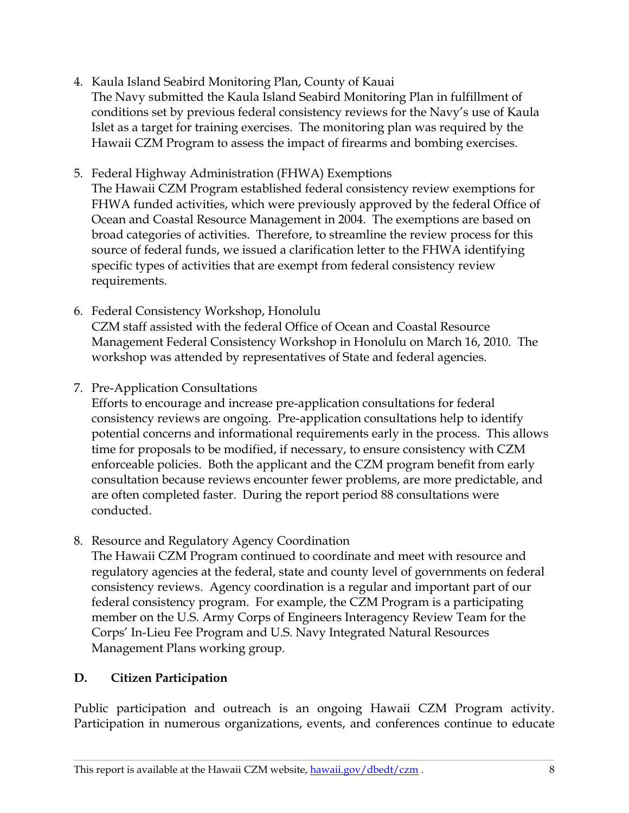- 4. Kaula Island Seabird Monitoring Plan, County of Kauai The Navy submitted the Kaula Island Seabird Monitoring Plan in fulfillment of conditions set by previous federal consistency reviews for the Navy"s use of Kaula Islet as a target for training exercises. The monitoring plan was required by the Hawaii CZM Program to assess the impact of firearms and bombing exercises.
- 5. Federal Highway Administration (FHWA) Exemptions

The Hawaii CZM Program established federal consistency review exemptions for FHWA funded activities, which were previously approved by the federal Office of Ocean and Coastal Resource Management in 2004. The exemptions are based on broad categories of activities. Therefore, to streamline the review process for this source of federal funds, we issued a clarification letter to the FHWA identifying specific types of activities that are exempt from federal consistency review requirements.

- 6. Federal Consistency Workshop, Honolulu CZM staff assisted with the federal Office of Ocean and Coastal Resource Management Federal Consistency Workshop in Honolulu on March 16, 2010. The workshop was attended by representatives of State and federal agencies.
- 7. Pre-Application Consultations

Efforts to encourage and increase pre-application consultations for federal consistency reviews are ongoing. Pre-application consultations help to identify potential concerns and informational requirements early in the process. This allows time for proposals to be modified, if necessary, to ensure consistency with CZM enforceable policies. Both the applicant and the CZM program benefit from early consultation because reviews encounter fewer problems, are more predictable, and are often completed faster. During the report period 88 consultations were conducted.

8. Resource and Regulatory Agency Coordination

The Hawaii CZM Program continued to coordinate and meet with resource and regulatory agencies at the federal, state and county level of governments on federal consistency reviews. Agency coordination is a regular and important part of our federal consistency program. For example, the CZM Program is a participating member on the U.S. Army Corps of Engineers Interagency Review Team for the Corps" In-Lieu Fee Program and U.S. Navy Integrated Natural Resources Management Plans working group.

## <span id="page-8-0"></span>**D. Citizen Participation**

Public participation and outreach is an ongoing Hawaii CZM Program activity. Participation in numerous organizations, events, and conferences continue to educate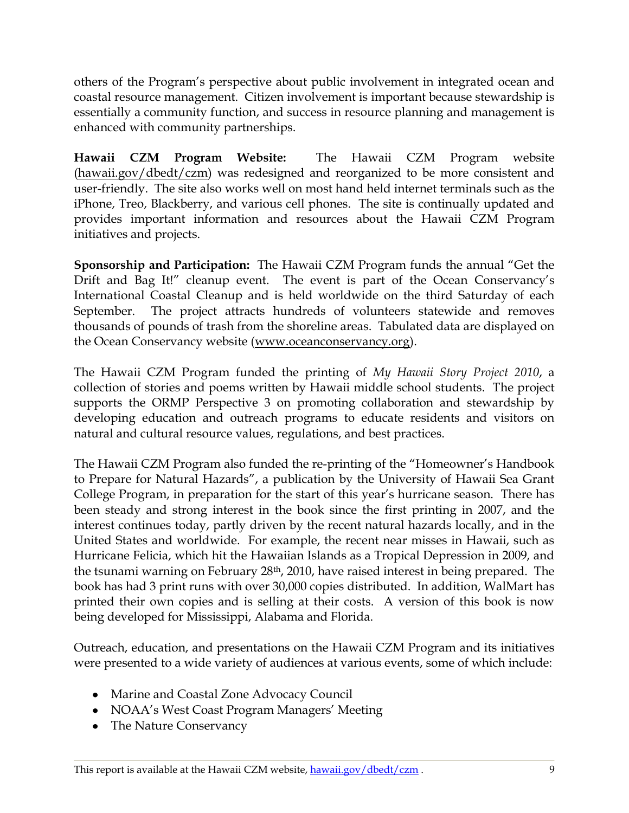others of the Program"s perspective about public involvement in integrated ocean and coastal resource management. Citizen involvement is important because stewardship is essentially a community function, and success in resource planning and management is enhanced with community partnerships.

**Hawaii CZM Program Website:** The Hawaii CZM Program website [\(hawaii.gov/dbedt/czm\)](http://hawaii.gov/dbedt/czm/) was redesigned and reorganized to be more consistent and user-friendly. The site also works well on most hand held internet terminals such as the iPhone, Treo, Blackberry, and various cell phones. The site is continually updated and provides important information and resources about the Hawaii CZM Program initiatives and projects.

**Sponsorship and Participation:** The Hawaii CZM Program funds the annual "Get the Drift and Bag It!" cleanup event. The event is part of the Ocean Conservancy's International Coastal Cleanup and is held worldwide on the third Saturday of each September. The project attracts hundreds of volunteers statewide and removes thousands of pounds of trash from the shoreline areas. Tabulated data are displayed on the Ocean Conservancy website [\(www.oceanconservancy.org\)](http://www.oceanconservancy.org/).

The Hawaii CZM Program funded the printing of *My Hawaii Story Project 2010*, a collection of stories and poems written by Hawaii middle school students. The project supports the ORMP Perspective 3 on promoting collaboration and stewardship by developing education and outreach programs to educate residents and visitors on natural and cultural resource values, regulations, and best practices.

The Hawaii CZM Program also funded the re-printing of the "Homeowner"s Handbook to Prepare for Natural Hazards", a publication by the University of Hawaii Sea Grant College Program, in preparation for the start of this year"s hurricane season. There has been steady and strong interest in the book since the first printing in 2007, and the interest continues today, partly driven by the recent natural hazards locally, and in the United States and worldwide. For example, the recent near misses in Hawaii, such as Hurricane Felicia, which hit the Hawaiian Islands as a Tropical Depression in 2009, and the tsunami warning on February 28<sup>th</sup>, 2010, have raised interest in being prepared. The book has had 3 print runs with over 30,000 copies distributed. In addition, WalMart has printed their own copies and is selling at their costs. A version of this book is now being developed for Mississippi, Alabama and Florida.

Outreach, education, and presentations on the Hawaii CZM Program and its initiatives were presented to a wide variety of audiences at various events, some of which include:

- Marine and Coastal Zone Advocacy Council
- NOAA's West Coast Program Managers' Meeting
- The Nature Conservancy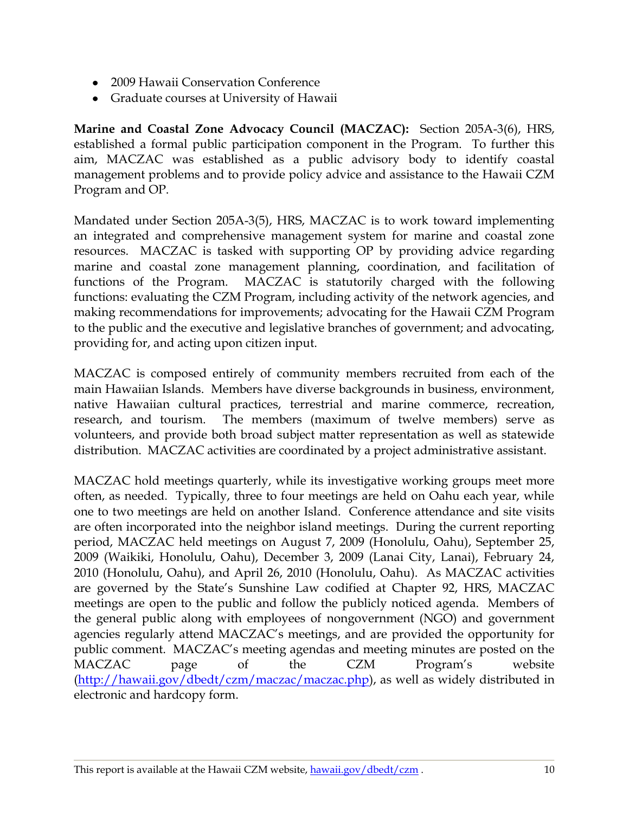- 2009 Hawaii Conservation Conference
- Graduate courses at University of Hawaii

**Marine and Coastal Zone Advocacy Council (MACZAC):** Section 205A-3(6), HRS, established a formal public participation component in the Program. To further this aim, MACZAC was established as a public advisory body to identify coastal management problems and to provide policy advice and assistance to the Hawaii CZM Program and OP.

Mandated under Section 205A-3(5), HRS, MACZAC is to work toward implementing an integrated and comprehensive management system for marine and coastal zone resources. MACZAC is tasked with supporting OP by providing advice regarding marine and coastal zone management planning, coordination, and facilitation of functions of the Program. MACZAC is statutorily charged with the following functions: evaluating the CZM Program, including activity of the network agencies, and making recommendations for improvements; advocating for the Hawaii CZM Program to the public and the executive and legislative branches of government; and advocating, providing for, and acting upon citizen input.

MACZAC is composed entirely of community members recruited from each of the main Hawaiian Islands. Members have diverse backgrounds in business, environment, native Hawaiian cultural practices, terrestrial and marine commerce, recreation, research, and tourism. The members (maximum of twelve members) serve as volunteers, and provide both broad subject matter representation as well as statewide distribution. MACZAC activities are coordinated by a project administrative assistant.

MACZAC hold meetings quarterly, while its investigative working groups meet more often, as needed. Typically, three to four meetings are held on Oahu each year, while one to two meetings are held on another Island. Conference attendance and site visits are often incorporated into the neighbor island meetings. During the current reporting period, MACZAC held meetings on August 7, 2009 (Honolulu, Oahu), September 25, 2009 (Waikiki, Honolulu, Oahu), December 3, 2009 (Lanai City, Lanai), February 24, 2010 (Honolulu, Oahu), and April 26, 2010 (Honolulu, Oahu). As MACZAC activities are governed by the State"s Sunshine Law codified at Chapter 92, HRS, MACZAC meetings are open to the public and follow the publicly noticed agenda. Members of the general public along with employees of nongovernment (NGO) and government agencies regularly attend MACZAC"s meetings, and are provided the opportunity for public comment. MACZAC"s meeting agendas and meeting minutes are posted on the MACZAC page of the CZM Program"s website [\(http://hawaii.gov/dbedt/czm/maczac/maczac.php\)](http://hawaii.gov/dbedt/czm/maczac/maczac.php), as well as widely distributed in electronic and hardcopy form.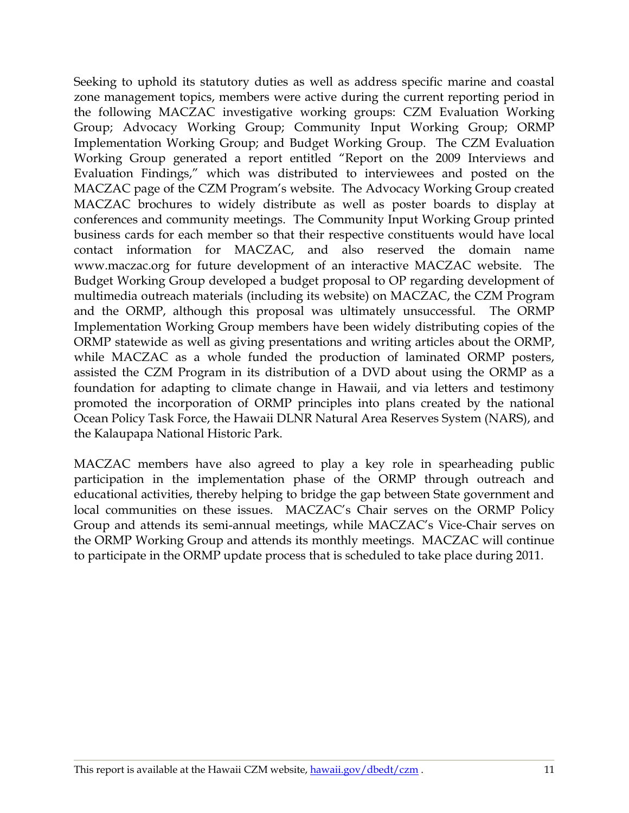Seeking to uphold its statutory duties as well as address specific marine and coastal zone management topics, members were active during the current reporting period in the following MACZAC investigative working groups: CZM Evaluation Working Group; Advocacy Working Group; Community Input Working Group; ORMP Implementation Working Group; and Budget Working Group. The CZM Evaluation Working Group generated a report entitled "Report on the 2009 Interviews and Evaluation Findings," which was distributed to interviewees and posted on the MACZAC page of the CZM Program"s website. The Advocacy Working Group created MACZAC brochures to widely distribute as well as poster boards to display at conferences and community meetings. The Community Input Working Group printed business cards for each member so that their respective constituents would have local contact information for MACZAC, and also reserved the domain name www.maczac.org for future development of an interactive MACZAC website. The Budget Working Group developed a budget proposal to OP regarding development of multimedia outreach materials (including its website) on MACZAC, the CZM Program and the ORMP, although this proposal was ultimately unsuccessful. The ORMP Implementation Working Group members have been widely distributing copies of the ORMP statewide as well as giving presentations and writing articles about the ORMP, while MACZAC as a whole funded the production of laminated ORMP posters, assisted the CZM Program in its distribution of a DVD about using the ORMP as a foundation for adapting to climate change in Hawaii, and via letters and testimony promoted the incorporation of ORMP principles into plans created by the national Ocean Policy Task Force, the Hawaii DLNR Natural Area Reserves System (NARS), and the Kalaupapa National Historic Park.

MACZAC members have also agreed to play a key role in spearheading public participation in the implementation phase of the ORMP through outreach and educational activities, thereby helping to bridge the gap between State government and local communities on these issues. MACZAC"s Chair serves on the ORMP Policy Group and attends its semi-annual meetings, while MACZAC"s Vice-Chair serves on the ORMP Working Group and attends its monthly meetings. MACZAC will continue to participate in the ORMP update process that is scheduled to take place during 2011.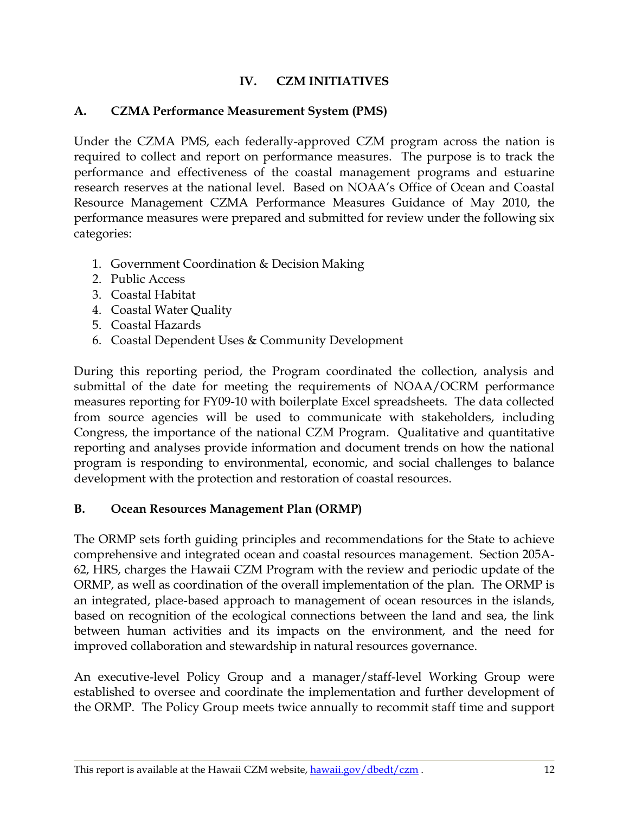### **IV. CZM INITIATIVES**

### <span id="page-12-1"></span><span id="page-12-0"></span>**A. CZMA Performance Measurement System (PMS)**

Under the CZMA PMS, each federally-approved CZM program across the nation is required to collect and report on performance measures. The purpose is to track the performance and effectiveness of the coastal management programs and estuarine research reserves at the national level. Based on NOAA"s Office of Ocean and Coastal Resource Management CZMA Performance Measures Guidance of May 2010, the performance measures were prepared and submitted for review under the following six categories:

- 1. Government Coordination & Decision Making
- 2. Public Access
- 3. Coastal Habitat
- 4. Coastal Water Quality
- 5. Coastal Hazards
- 6. Coastal Dependent Uses & Community Development

During this reporting period, the Program coordinated the collection, analysis and submittal of the date for meeting the requirements of NOAA/OCRM performance measures reporting for FY09-10 with boilerplate Excel spreadsheets. The data collected from source agencies will be used to communicate with stakeholders, including Congress, the importance of the national CZM Program. Qualitative and quantitative reporting and analyses provide information and document trends on how the national program is responding to environmental, economic, and social challenges to balance development with the protection and restoration of coastal resources.

### <span id="page-12-2"></span>**B. Ocean Resources Management Plan (ORMP)**

The ORMP sets forth guiding principles and recommendations for the State to achieve comprehensive and integrated ocean and coastal resources management. Section 205A-62, HRS, charges the Hawaii CZM Program with the review and periodic update of the ORMP, as well as coordination of the overall implementation of the plan. The ORMP is an integrated, place-based approach to management of ocean resources in the islands, based on recognition of the ecological connections between the land and sea, the link between human activities and its impacts on the environment, and the need for improved collaboration and stewardship in natural resources governance.

An executive-level Policy Group and a manager/staff-level Working Group were established to oversee and coordinate the implementation and further development of the ORMP. The Policy Group meets twice annually to recommit staff time and support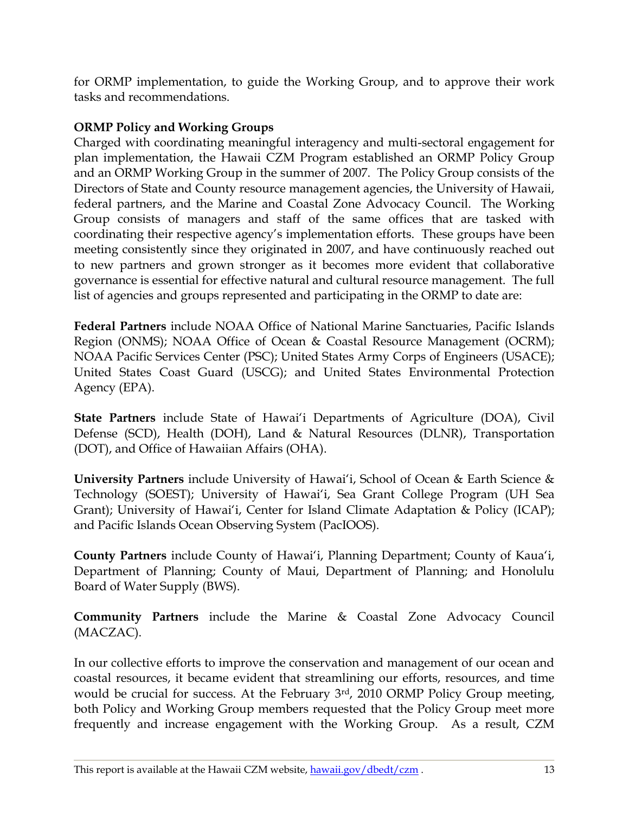for ORMP implementation, to guide the Working Group, and to approve their work tasks and recommendations.

## **ORMP Policy and Working Groups**

Charged with coordinating meaningful interagency and multi-sectoral engagement for plan implementation, the Hawaii CZM Program established an ORMP Policy Group and an ORMP Working Group in the summer of 2007. The Policy Group consists of the Directors of State and County resource management agencies, the University of Hawaii, federal partners, and the Marine and Coastal Zone Advocacy Council. The Working Group consists of managers and staff of the same offices that are tasked with coordinating their respective agency"s implementation efforts. These groups have been meeting consistently since they originated in 2007, and have continuously reached out to new partners and grown stronger as it becomes more evident that collaborative governance is essential for effective natural and cultural resource management. The full list of agencies and groups represented and participating in the ORMP to date are:

**Federal Partners** include NOAA Office of National Marine Sanctuaries, Pacific Islands Region (ONMS); NOAA Office of Ocean & Coastal Resource Management (OCRM); NOAA Pacific Services Center (PSC); United States Army Corps of Engineers (USACE); United States Coast Guard (USCG); and United States Environmental Protection Agency (EPA).

**State Partners** include State of Hawai'i Departments of Agriculture (DOA), Civil Defense (SCD), Health (DOH), Land & Natural Resources (DLNR), Transportation (DOT), and Office of Hawaiian Affairs (OHA).

**University Partners** include University of Hawai'i, School of Ocean & Earth Science & Technology (SOEST); University of Hawai"i, Sea Grant College Program (UH Sea Grant); University of Hawai'i, Center for Island Climate Adaptation & Policy (ICAP); and Pacific Islands Ocean Observing System (PacIOOS).

**County Partners** include County of Hawai'i, Planning Department; County of Kaua'i, Department of Planning; County of Maui, Department of Planning; and Honolulu Board of Water Supply (BWS).

**Community Partners** include the Marine & Coastal Zone Advocacy Council (MACZAC).

In our collective efforts to improve the conservation and management of our ocean and coastal resources, it became evident that streamlining our efforts, resources, and time would be crucial for success. At the February 3rd, 2010 ORMP Policy Group meeting, both Policy and Working Group members requested that the Policy Group meet more frequently and increase engagement with the Working Group. As a result, CZM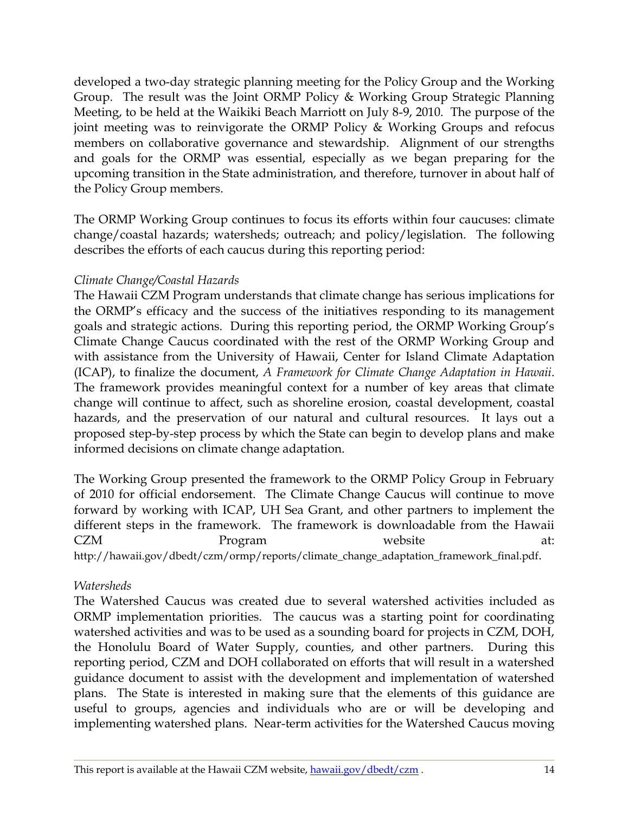developed a two-day strategic planning meeting for the Policy Group and the Working Group. The result was the Joint ORMP Policy & Working Group Strategic Planning Meeting, to be held at the Waikiki Beach Marriott on July 8-9, 2010. The purpose of the joint meeting was to reinvigorate the ORMP Policy & Working Groups and refocus members on collaborative governance and stewardship. Alignment of our strengths and goals for the ORMP was essential, especially as we began preparing for the upcoming transition in the State administration, and therefore, turnover in about half of the Policy Group members.

The ORMP Working Group continues to focus its efforts within four caucuses: climate change/coastal hazards; watersheds; outreach; and policy/legislation. The following describes the efforts of each caucus during this reporting period:

### *Climate Change/Coastal Hazards*

The Hawaii CZM Program understands that climate change has serious implications for the ORMP"s efficacy and the success of the initiatives responding to its management goals and strategic actions. During this reporting period, the ORMP Working Group"s Climate Change Caucus coordinated with the rest of the ORMP Working Group and with assistance from the University of Hawaii, Center for Island Climate Adaptation (ICAP), to finalize the document, *A Framework for Climate Change Adaptation in Hawaii*. The framework provides meaningful context for a number of key areas that climate change will continue to affect, such as shoreline erosion, coastal development, coastal hazards, and the preservation of our natural and cultural resources. It lays out a proposed step-by-step process by which the State can begin to develop plans and make informed decisions on climate change adaptation.

The Working Group presented the framework to the ORMP Policy Group in February of 2010 for official endorsement. The Climate Change Caucus will continue to move forward by working with ICAP, UH Sea Grant, and other partners to implement the different steps in the framework. The framework is downloadable from the Hawaii CZM Program website at: http://hawaii.gov/dbedt/czm/ormp/reports/climate\_change\_adaptation\_framework\_final.pdf.

### *Watersheds*

The Watershed Caucus was created due to several watershed activities included as ORMP implementation priorities. The caucus was a starting point for coordinating watershed activities and was to be used as a sounding board for projects in CZM, DOH, the Honolulu Board of Water Supply, counties, and other partners. During this reporting period, CZM and DOH collaborated on efforts that will result in a watershed guidance document to assist with the development and implementation of watershed plans. The State is interested in making sure that the elements of this guidance are useful to groups, agencies and individuals who are or will be developing and implementing watershed plans. Near-term activities for the Watershed Caucus moving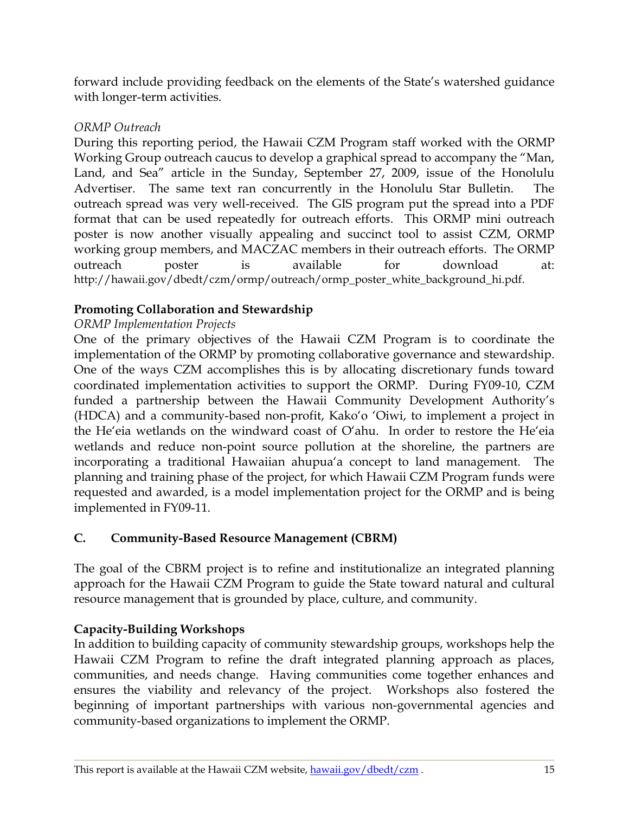forward include providing feedback on the elements of the State"s watershed guidance with longer-term activities.

### *ORMP Outreach*

During this reporting period, the Hawaii CZM Program staff worked with the ORMP Working Group outreach caucus to develop a graphical spread to accompany the "Man, Land, and Sea" article in the Sunday, September 27, 2009, issue of the Honolulu Advertiser. The same text ran concurrently in the Honolulu Star Bulletin. The outreach spread was very well-received. The GIS program put the spread into a PDF format that can be used repeatedly for outreach efforts. This ORMP mini outreach poster is now another visually appealing and succinct tool to assist CZM, ORMP working group members, and MACZAC members in their outreach efforts. The ORMP outreach poster is available for download at: http://hawaii.gov/dbedt/czm/ormp/outreach/ormp\_poster\_white\_background\_hi.pdf.

## **Promoting Collaboration and Stewardship**

## *ORMP Implementation Projects*

One of the primary objectives of the Hawaii CZM Program is to coordinate the implementation of the ORMP by promoting collaborative governance and stewardship. One of the ways CZM accomplishes this is by allocating discretionary funds toward coordinated implementation activities to support the ORMP. During FY09-10, CZM funded a partnership between the Hawaii Community Development Authority's (HDCA) and a community-based non-profit, Kako"o "Oiwi, to implement a project in the He'eia wetlands on the windward coast of  $O'$ ahu. In order to restore the He'eia wetlands and reduce non-point source pollution at the shoreline, the partners are incorporating a traditional Hawaiian ahupua'a concept to land management. The planning and training phase of the project, for which Hawaii CZM Program funds were requested and awarded, is a model implementation project for the ORMP and is being implemented in FY09-11.

## <span id="page-15-0"></span>**C. Community-Based Resource Management (CBRM)**

The goal of the CBRM project is to refine and institutionalize an integrated planning approach for the Hawaii CZM Program to guide the State toward natural and cultural resource management that is grounded by place, culture, and community.

## **Capacity-Building Workshops**

In addition to building capacity of community stewardship groups, workshops help the Hawaii CZM Program to refine the draft integrated planning approach as places, communities, and needs change. Having communities come together enhances and ensures the viability and relevancy of the project. Workshops also fostered the beginning of important partnerships with various non-governmental agencies and community-based organizations to implement the ORMP.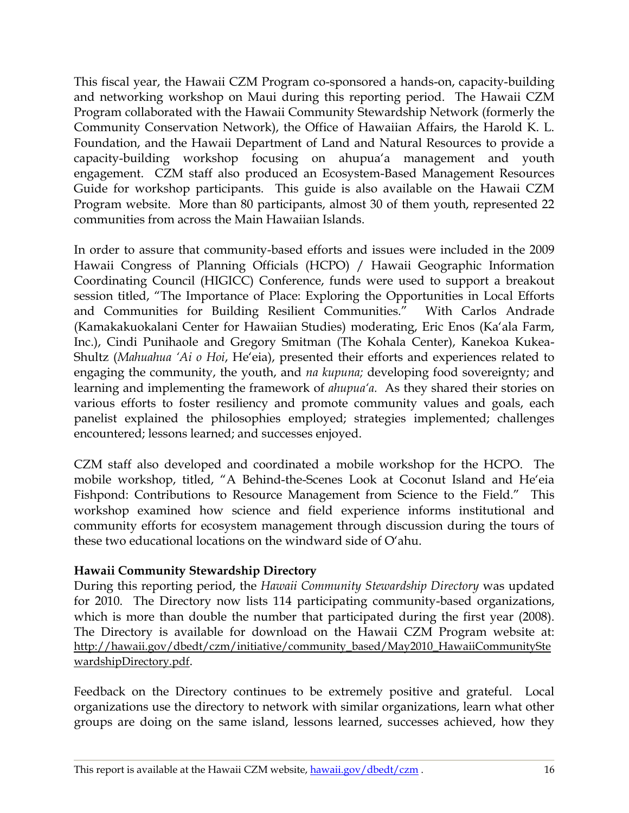This fiscal year, the Hawaii CZM Program co-sponsored a hands-on, capacity-building and networking workshop on Maui during this reporting period. The Hawaii CZM Program collaborated with the Hawaii Community Stewardship Network (formerly the Community Conservation Network), the Office of Hawaiian Affairs, the Harold K. L. Foundation, and the Hawaii Department of Land and Natural Resources to provide a capacity-building workshop focusing on ahupua'a management and youth engagement. CZM staff also produced an Ecosystem-Based Management Resources Guide for workshop participants. This guide is also available on the Hawaii CZM Program website. More than 80 participants, almost 30 of them youth, represented 22 communities from across the Main Hawaiian Islands.

In order to assure that community-based efforts and issues were included in the 2009 Hawaii Congress of Planning Officials (HCPO) / Hawaii Geographic Information Coordinating Council (HIGICC) Conference, funds were used to support a breakout session titled, "The Importance of Place: Exploring the Opportunities in Local Efforts and Communities for Building Resilient Communities." With Carlos Andrade (Kamakakuokalani Center for Hawaiian Studies) moderating, Eric Enos (Ka"ala Farm, Inc.), Cindi Punihaole and Gregory Smitman (The Kohala Center), Kanekoa Kukea-Shultz (Mahuahua 'Ai o Hoi, He'eia), presented their efforts and experiences related to engaging the community, the youth, and *na kupuna;* developing food sovereignty; and learning and implementing the framework of *ahupua'a.* As they shared their stories on various efforts to foster resiliency and promote community values and goals, each panelist explained the philosophies employed; strategies implemented; challenges encountered; lessons learned; and successes enjoyed.

CZM staff also developed and coordinated a mobile workshop for the HCPO. The mobile workshop, titled, "A Behind-the-Scenes Look at Coconut Island and He"eia Fishpond: Contributions to Resource Management from Science to the Field." This workshop examined how science and field experience informs institutional and community efforts for ecosystem management through discussion during the tours of these two educational locations on the windward side of O"ahu.

### **Hawaii Community Stewardship Directory**

During this reporting period, the *Hawaii Community Stewardship Directory* was updated for 2010. The Directory now lists 114 participating community-based organizations, which is more than double the number that participated during the first year (2008). The Directory is available for download on the Hawaii CZM Program website at: [http://hawaii.gov/dbedt/czm/initiative/community\\_based/May2010\\_HawaiiCommunitySte](http://hawaii.gov/dbedt/czm/initiative/community_based/May2010_HawaiiCommunityStewardshipDirectory.pdf) [wardshipDirectory.pdf](http://hawaii.gov/dbedt/czm/initiative/community_based/May2010_HawaiiCommunityStewardshipDirectory.pdf).

Feedback on the Directory continues to be extremely positive and grateful. Local organizations use the directory to network with similar organizations, learn what other groups are doing on the same island, lessons learned, successes achieved, how they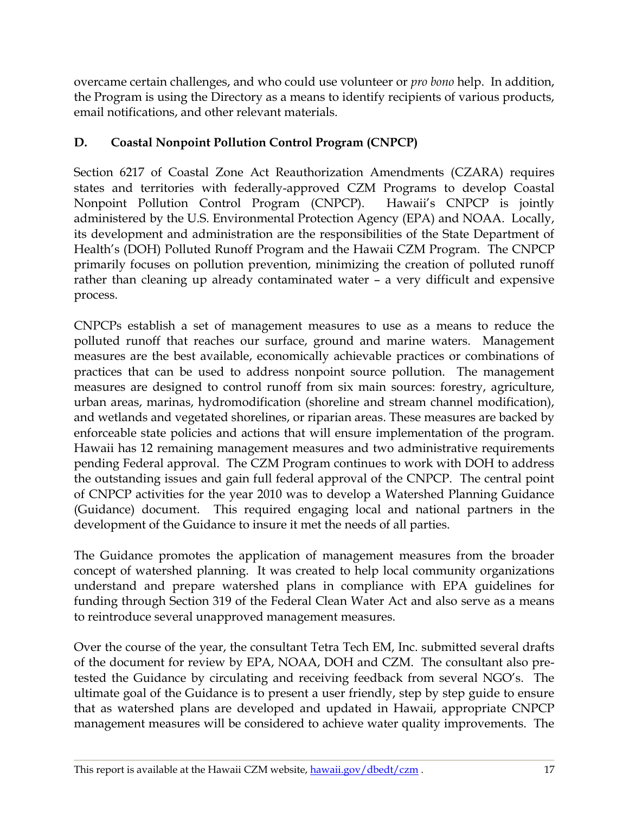overcame certain challenges, and who could use volunteer or *pro bono* help. In addition, the Program is using the Directory as a means to identify recipients of various products, email notifications, and other relevant materials.

# <span id="page-17-0"></span>**D. Coastal Nonpoint Pollution Control Program (CNPCP)**

Section 6217 of Coastal Zone Act Reauthorization Amendments (CZARA) requires states and territories with federally-approved CZM Programs to develop Coastal Nonpoint Pollution Control Program (CNPCP). Hawaii's CNPCP is jointly administered by the U.S. Environmental Protection Agency (EPA) and NOAA. Locally, its development and administration are the responsibilities of the State Department of Health"s (DOH) Polluted Runoff Program and the Hawaii CZM Program. The CNPCP primarily focuses on pollution prevention, minimizing the creation of polluted runoff rather than cleaning up already contaminated water – a very difficult and expensive process.

CNPCPs establish a set of management measures to use as a means to reduce the polluted runoff that reaches our surface, ground and marine waters. Management measures are the best available, economically achievable practices or combinations of practices that can be used to address nonpoint source pollution. The management measures are designed to control runoff from six main sources: forestry, agriculture, urban areas, marinas, hydromodification (shoreline and stream channel modification), and wetlands and vegetated shorelines, or riparian areas. These measures are backed by enforceable state policies and actions that will ensure implementation of the program. Hawaii has 12 remaining management measures and two administrative requirements pending Federal approval. The CZM Program continues to work with DOH to address the outstanding issues and gain full federal approval of the CNPCP. The central point of CNPCP activities for the year 2010 was to develop a Watershed Planning Guidance (Guidance) document. This required engaging local and national partners in the development of the Guidance to insure it met the needs of all parties.

The Guidance promotes the application of management measures from the broader concept of watershed planning. It was created to help local community organizations understand and prepare watershed plans in compliance with EPA guidelines for funding through Section 319 of the Federal Clean Water Act and also serve as a means to reintroduce several unapproved management measures.

Over the course of the year, the consultant Tetra Tech EM, Inc. submitted several drafts of the document for review by EPA, NOAA, DOH and CZM. The consultant also pretested the Guidance by circulating and receiving feedback from several NGO"s. The ultimate goal of the Guidance is to present a user friendly, step by step guide to ensure that as watershed plans are developed and updated in Hawaii, appropriate CNPCP management measures will be considered to achieve water quality improvements. The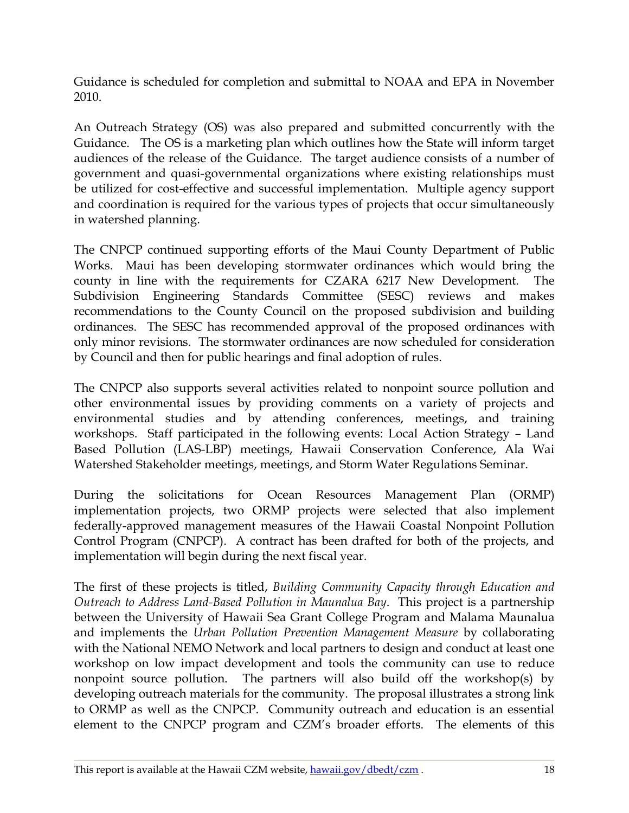Guidance is scheduled for completion and submittal to NOAA and EPA in November 2010.

An Outreach Strategy (OS) was also prepared and submitted concurrently with the Guidance. The OS is a marketing plan which outlines how the State will inform target audiences of the release of the Guidance. The target audience consists of a number of government and quasi-governmental organizations where existing relationships must be utilized for cost-effective and successful implementation. Multiple agency support and coordination is required for the various types of projects that occur simultaneously in watershed planning.

The CNPCP continued supporting efforts of the Maui County Department of Public Works. Maui has been developing stormwater ordinances which would bring the county in line with the requirements for CZARA 6217 New Development. The Subdivision Engineering Standards Committee (SESC) reviews and makes recommendations to the County Council on the proposed subdivision and building ordinances. The SESC has recommended approval of the proposed ordinances with only minor revisions. The stormwater ordinances are now scheduled for consideration by Council and then for public hearings and final adoption of rules.

The CNPCP also supports several activities related to nonpoint source pollution and other environmental issues by providing comments on a variety of projects and environmental studies and by attending conferences, meetings, and training workshops. Staff participated in the following events: Local Action Strategy – Land Based Pollution (LAS-LBP) meetings, Hawaii Conservation Conference, Ala Wai Watershed Stakeholder meetings, meetings, and Storm Water Regulations Seminar.

During the solicitations for Ocean Resources Management Plan (ORMP) implementation projects, two ORMP projects were selected that also implement federally-approved management measures of the Hawaii Coastal Nonpoint Pollution Control Program (CNPCP). A contract has been drafted for both of the projects, and implementation will begin during the next fiscal year.

The first of these projects is titled, *Building Community Capacity through Education and Outreach to Address Land-Based Pollution in Maunalua Bay*. This project is a partnership between the University of Hawaii Sea Grant College Program and Malama Maunalua and implements the *Urban Pollution Prevention Management Measure* by collaborating with the National NEMO Network and local partners to design and conduct at least one workshop on low impact development and tools the community can use to reduce nonpoint source pollution. The partners will also build off the workshop(s) by developing outreach materials for the community.The proposal illustrates a strong link to ORMP as well as the CNPCP. Community outreach and education is an essential element to the CNPCP program and CZM"s broader efforts. The elements of this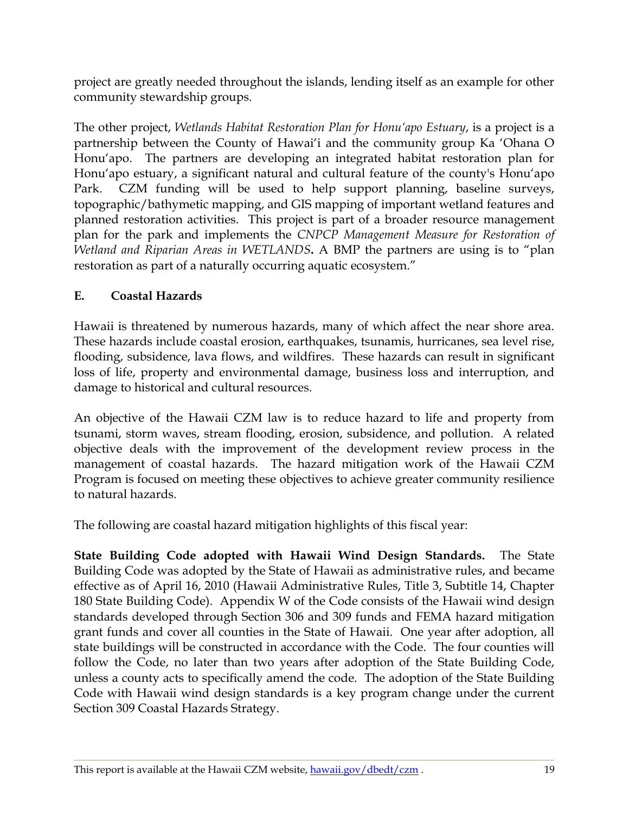project are greatly needed throughout the islands, lending itself as an example for other community stewardship groups.

The other project, *Wetlands Habitat Restoration Plan for Honu'apo Estuary*, is a project is a partnership between the County of Hawai'i and the community group Ka 'Ohana O Honu"apo. The partners are developing an integrated habitat restoration plan for Honu'apo estuary, a significant natural and cultural feature of the county's Honu'apo Park. CZM funding will be used to help support planning, baseline surveys, topographic/bathymetic mapping, and GIS mapping of important wetland features and planned restoration activities. This project is part of a broader resource management plan for the park and implements the *CNPCP Management Measure for Restoration of Wetland and Riparian Areas in WETLANDS***.** A BMP the partners are using is to "plan restoration as part of a naturally occurring aquatic ecosystem."

# <span id="page-19-0"></span>**E. Coastal Hazards**

Hawaii is threatened by numerous hazards, many of which affect the near shore area. These hazards include coastal erosion, earthquakes, tsunamis, hurricanes, sea level rise, flooding, subsidence, lava flows, and wildfires. These hazards can result in significant loss of life, property and environmental damage, business loss and interruption, and damage to historical and cultural resources.

An objective of the Hawaii CZM law is to reduce hazard to life and property from tsunami, storm waves, stream flooding, erosion, subsidence, and pollution. A related objective deals with the improvement of the development review process in the management of coastal hazards. The hazard mitigation work of the Hawaii CZM Program is focused on meeting these objectives to achieve greater community resilience to natural hazards.

The following are coastal hazard mitigation highlights of this fiscal year:

**State Building Code adopted with Hawaii Wind Design Standards.** The State Building Code was adopted by the State of Hawaii as administrative rules, and became effective as of April 16, 2010 (Hawaii Administrative Rules, Title 3, Subtitle 14, Chapter 180 State Building Code). Appendix W of the Code consists of the Hawaii wind design standards developed through Section 306 and 309 funds and FEMA hazard mitigation grant funds and cover all counties in the State of Hawaii. One year after adoption, all state buildings will be constructed in accordance with the Code. The four counties will follow the Code, no later than two years after adoption of the State Building Code, unless a county acts to specifically amend the code. The adoption of the State Building Code with Hawaii wind design standards is a key program change under the current Section 309 Coastal Hazards Strategy.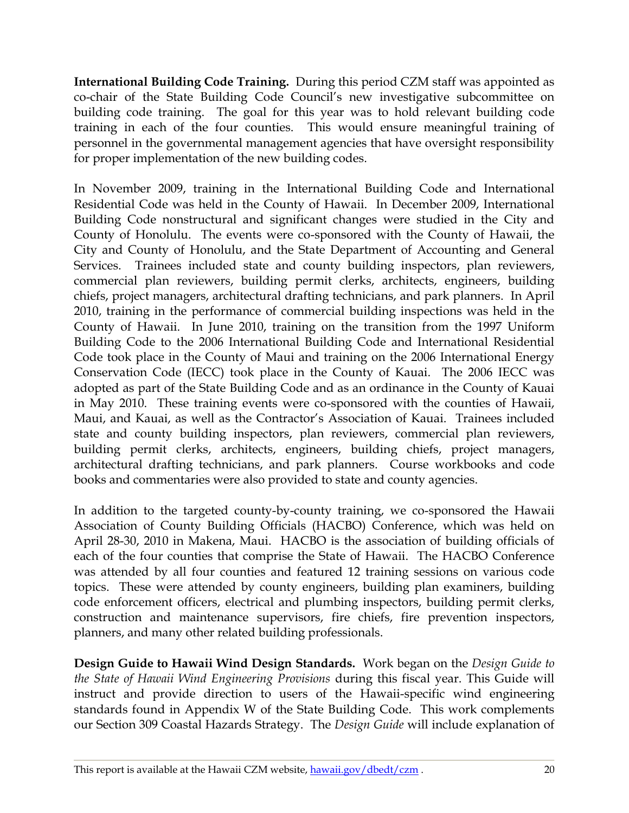**International Building Code Training.** During this period CZM staff was appointed as co-chair of the State Building Code Council"s new investigative subcommittee on building code training. The goal for this year was to hold relevant building code training in each of the four counties. This would ensure meaningful training of personnel in the governmental management agencies that have oversight responsibility for proper implementation of the new building codes.

In November 2009, training in the International Building Code and International Residential Code was held in the County of Hawaii. In December 2009, International Building Code nonstructural and significant changes were studied in the City and County of Honolulu. The events were co-sponsored with the County of Hawaii, the City and County of Honolulu, and the State Department of Accounting and General Services. Trainees included state and county building inspectors, plan reviewers, commercial plan reviewers, building permit clerks, architects, engineers, building chiefs, project managers, architectural drafting technicians, and park planners. In April 2010, training in the performance of commercial building inspections was held in the County of Hawaii. In June 2010, training on the transition from the 1997 Uniform Building Code to the 2006 International Building Code and International Residential Code took place in the County of Maui and training on the 2006 International Energy Conservation Code (IECC) took place in the County of Kauai. The 2006 IECC was adopted as part of the State Building Code and as an ordinance in the County of Kauai in May 2010. These training events were co-sponsored with the counties of Hawaii, Maui, and Kauai, as well as the Contractor"s Association of Kauai. Trainees included state and county building inspectors, plan reviewers, commercial plan reviewers, building permit clerks, architects, engineers, building chiefs, project managers, architectural drafting technicians, and park planners. Course workbooks and code books and commentaries were also provided to state and county agencies.

In addition to the targeted county-by-county training, we co-sponsored the Hawaii Association of County Building Officials (HACBO) Conference, which was held on April 28-30, 2010 in Makena, Maui. HACBO is the association of building officials of each of the four counties that comprise the State of Hawaii. The HACBO Conference was attended by all four counties and featured 12 training sessions on various code topics. These were attended by county engineers, building plan examiners, building code enforcement officers, electrical and plumbing inspectors, building permit clerks, construction and maintenance supervisors, fire chiefs, fire prevention inspectors, planners, and many other related building professionals.

**Design Guide to Hawaii Wind Design Standards.** Work began on the *Design Guide to the State of Hawaii Wind Engineering Provisions* during this fiscal year. This Guide will instruct and provide direction to users of the Hawaii-specific wind engineering standards found in Appendix W of the State Building Code. This work complements our Section 309 Coastal Hazards Strategy. The *Design Guide* will include explanation of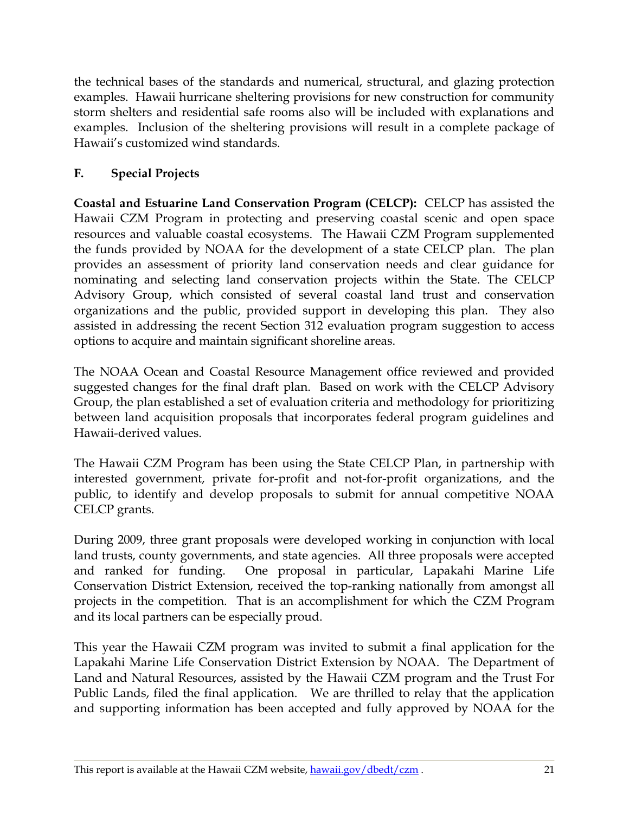the technical bases of the standards and numerical, structural, and glazing protection examples. Hawaii hurricane sheltering provisions for new construction for community storm shelters and residential safe rooms also will be included with explanations and examples. Inclusion of the sheltering provisions will result in a complete package of Hawaii"s customized wind standards.

# <span id="page-21-0"></span>**F. Special Projects**

**Coastal and Estuarine Land Conservation Program (CELCP):** CELCP has assisted the Hawaii CZM Program in protecting and preserving coastal scenic and open space resources and valuable coastal ecosystems. The Hawaii CZM Program supplemented the funds provided by NOAA for the development of a state CELCP plan. The plan provides an assessment of priority land conservation needs and clear guidance for nominating and selecting land conservation projects within the State. The CELCP Advisory Group, which consisted of several coastal land trust and conservation organizations and the public, provided support in developing this plan. They also assisted in addressing the recent Section 312 evaluation program suggestion to access options to acquire and maintain significant shoreline areas.

The NOAA Ocean and Coastal Resource Management office reviewed and provided suggested changes for the final draft plan. Based on work with the CELCP Advisory Group, the plan established a set of evaluation criteria and methodology for prioritizing between land acquisition proposals that incorporates federal program guidelines and Hawaii-derived values.

The Hawaii CZM Program has been using the State CELCP Plan, in partnership with interested government, private for-profit and not-for-profit organizations, and the public, to identify and develop proposals to submit for annual competitive NOAA CELCP grants.

During 2009, three grant proposals were developed working in conjunction with local land trusts, county governments, and state agencies. All three proposals were accepted and ranked for funding. One proposal in particular, Lapakahi Marine Life Conservation District Extension, received the top-ranking nationally from amongst all projects in the competition. That is an accomplishment for which the CZM Program and its local partners can be especially proud.

This year the Hawaii CZM program was invited to submit a final application for the Lapakahi Marine Life Conservation District Extension by NOAA. The Department of Land and Natural Resources, assisted by the Hawaii CZM program and the Trust For Public Lands, filed the final application. We are thrilled to relay that the application and supporting information has been accepted and fully approved by NOAA for the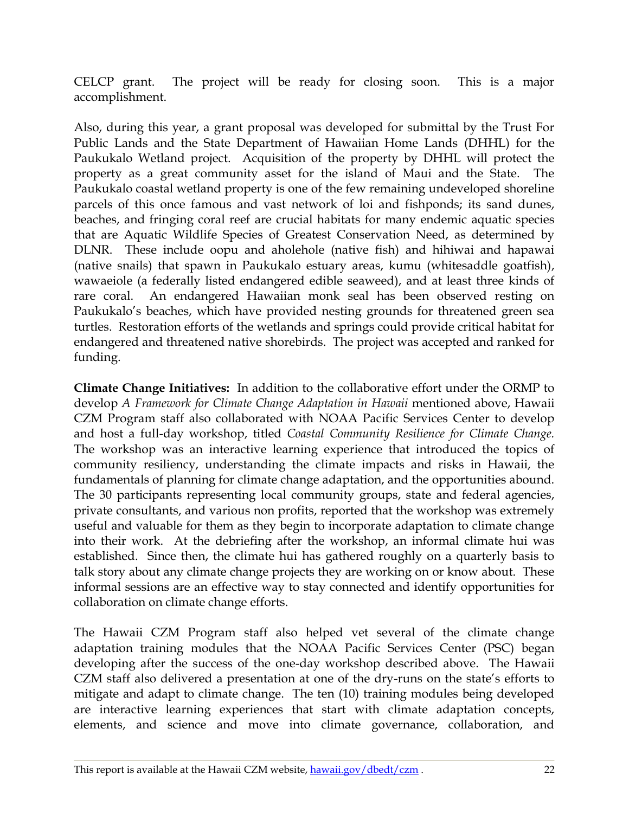CELCP grant. The project will be ready for closing soon. This is a major accomplishment.

Also, during this year, a grant proposal was developed for submittal by the Trust For Public Lands and the State Department of Hawaiian Home Lands (DHHL) for the Paukukalo Wetland project. Acquisition of the property by DHHL will protect the property as a great community asset for the island of Maui and the State. The Paukukalo coastal wetland property is one of the few remaining undeveloped shoreline parcels of this once famous and vast network of loi and fishponds; its sand dunes, beaches, and fringing coral reef are crucial habitats for many endemic aquatic species that are Aquatic Wildlife Species of Greatest Conservation Need, as determined by DLNR. These include oopu and aholehole (native fish) and hihiwai and hapawai (native snails) that spawn in Paukukalo estuary areas, kumu (whitesaddle goatfish), wawaeiole (a federally listed endangered edible seaweed), and at least three kinds of rare coral. An endangered Hawaiian monk seal has been observed resting on Paukukalo's beaches, which have provided nesting grounds for threatened green sea turtles. Restoration efforts of the wetlands and springs could provide critical habitat for endangered and threatened native shorebirds. The project was accepted and ranked for funding.

**Climate Change Initiatives:** In addition to the collaborative effort under the ORMP to develop *A Framework for Climate Change Adaptation in Hawaii* mentioned above, Hawaii CZM Program staff also collaborated with NOAA Pacific Services Center to develop and host a full-day workshop, titled *Coastal Community Resilience for Climate Change.* The workshop was an interactive learning experience that introduced the topics of community resiliency, understanding the climate impacts and risks in Hawaii, the fundamentals of planning for climate change adaptation, and the opportunities abound. The 30 participants representing local community groups, state and federal agencies, private consultants, and various non profits, reported that the workshop was extremely useful and valuable for them as they begin to incorporate adaptation to climate change into their work. At the debriefing after the workshop, an informal climate hui was established. Since then, the climate hui has gathered roughly on a quarterly basis to talk story about any climate change projects they are working on or know about. These informal sessions are an effective way to stay connected and identify opportunities for collaboration on climate change efforts.

The Hawaii CZM Program staff also helped vet several of the climate change adaptation training modules that the NOAA Pacific Services Center (PSC) began developing after the success of the one-day workshop described above. The Hawaii CZM staff also delivered a presentation at one of the dry-runs on the state"s efforts to mitigate and adapt to climate change. The ten (10) training modules being developed are interactive learning experiences that start with climate adaptation concepts, elements, and science and move into climate governance, collaboration, and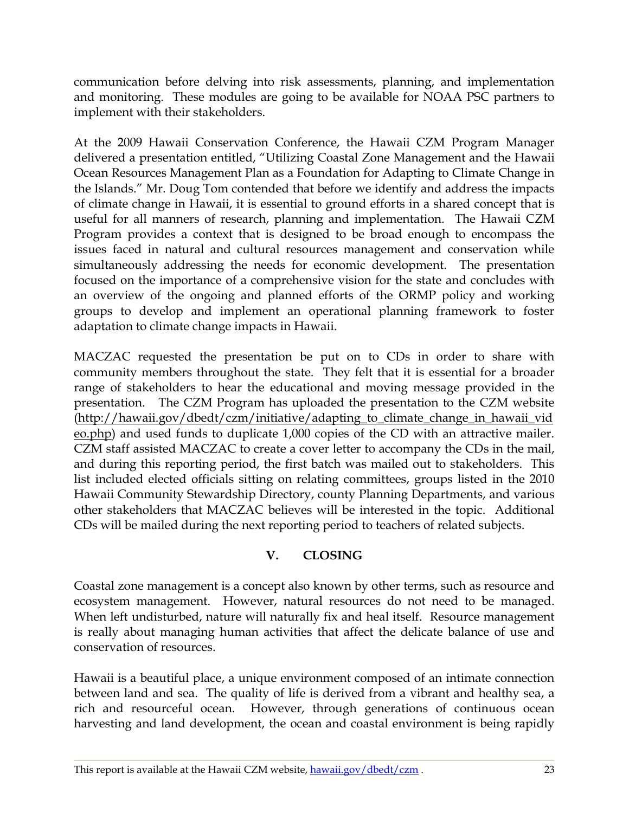communication before delving into risk assessments, planning, and implementation and monitoring. These modules are going to be available for NOAA PSC partners to implement with their stakeholders.

At the 2009 Hawaii Conservation Conference, the Hawaii CZM Program Manager delivered a presentation entitled, "Utilizing Coastal Zone Management and the Hawaii Ocean Resources Management Plan as a Foundation for Adapting to Climate Change in the Islands." Mr. Doug Tom contended that before we identify and address the impacts of climate change in Hawaii, it is essential to ground efforts in a shared concept that is useful for all manners of research, planning and implementation. The Hawaii CZM Program provides a context that is designed to be broad enough to encompass the issues faced in natural and cultural resources management and conservation while simultaneously addressing the needs for economic development. The presentation focused on the importance of a comprehensive vision for the state and concludes with an overview of the ongoing and planned efforts of the ORMP policy and working groups to develop and implement an operational planning framework to foster adaptation to climate change impacts in Hawaii.

MACZAC requested the presentation be put on to CDs in order to share with community members throughout the state. They felt that it is essential for a broader range of stakeholders to hear the educational and moving message provided in the presentation. The CZM Program has uploaded the presentation to the CZM website [\(http://hawaii.gov/dbedt/czm/initiative/adapting\\_to\\_climate\\_change\\_in\\_hawaii\\_vid](http://hawaii.gov/dbedt/czm/initiative/adapting_to_climate_change_in_hawaii_video.php) [eo.php\)](http://hawaii.gov/dbedt/czm/initiative/adapting_to_climate_change_in_hawaii_video.php) and used funds to duplicate 1,000 copies of the CD with an attractive mailer. CZM staff assisted MACZAC to create a cover letter to accompany the CDs in the mail, and during this reporting period, the first batch was mailed out to stakeholders. This list included elected officials sitting on relating committees, groups listed in the 2010 Hawaii Community Stewardship Directory, county Planning Departments, and various other stakeholders that MACZAC believes will be interested in the topic. Additional CDs will be mailed during the next reporting period to teachers of related subjects.

## **V. CLOSING**

<span id="page-23-0"></span>Coastal zone management is a concept also known by other terms, such as resource and ecosystem management. However, natural resources do not need to be managed. When left undisturbed, nature will naturally fix and heal itself. Resource management is really about managing human activities that affect the delicate balance of use and conservation of resources.

Hawaii is a beautiful place, a unique environment composed of an intimate connection between land and sea. The quality of life is derived from a vibrant and healthy sea, a rich and resourceful ocean. However, through generations of continuous ocean harvesting and land development, the ocean and coastal environment is being rapidly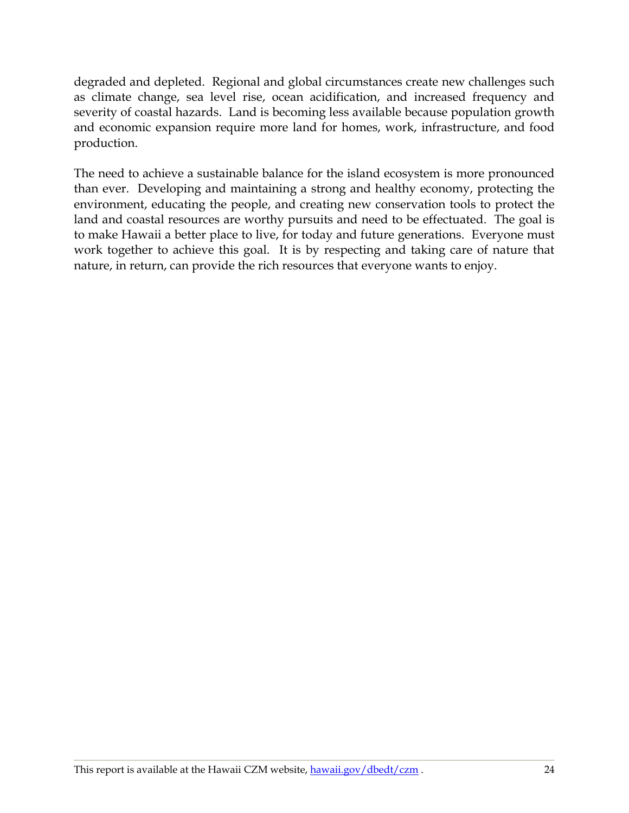degraded and depleted. Regional and global circumstances create new challenges such as climate change, sea level rise, ocean acidification, and increased frequency and severity of coastal hazards. Land is becoming less available because population growth and economic expansion require more land for homes, work, infrastructure, and food production.

The need to achieve a sustainable balance for the island ecosystem is more pronounced than ever. Developing and maintaining a strong and healthy economy, protecting the environment, educating the people, and creating new conservation tools to protect the land and coastal resources are worthy pursuits and need to be effectuated. The goal is to make Hawaii a better place to live, for today and future generations. Everyone must work together to achieve this goal. It is by respecting and taking care of nature that nature, in return, can provide the rich resources that everyone wants to enjoy.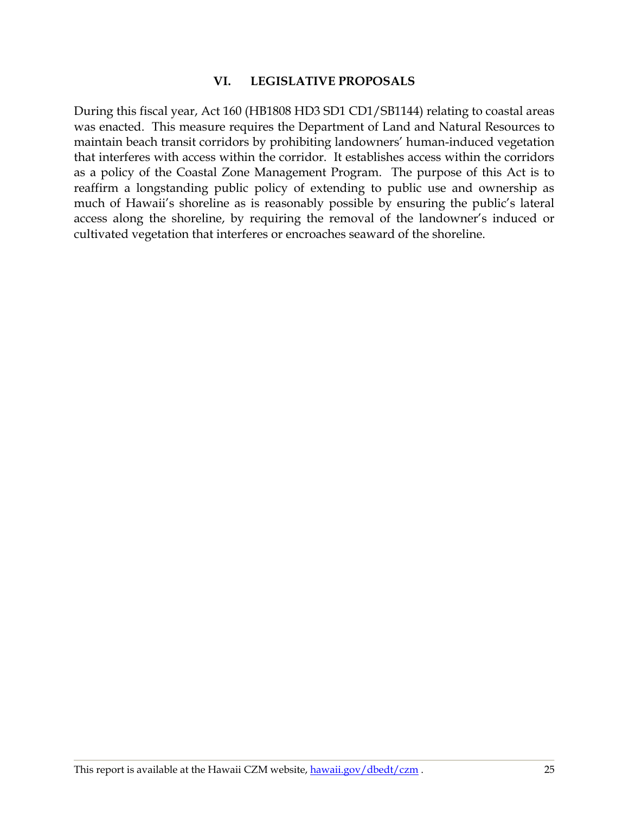#### **VI. LEGISLATIVE PROPOSALS**

<span id="page-25-0"></span>During this fiscal year, Act 160 (HB1808 HD3 SD1 CD1/SB1144) relating to coastal areas was enacted. This measure requires the Department of Land and Natural Resources to maintain beach transit corridors by prohibiting landowners' human-induced vegetation that interferes with access within the corridor. It establishes access within the corridors as a policy of the Coastal Zone Management Program. The purpose of this Act is to reaffirm a longstanding public policy of extending to public use and ownership as much of Hawaii's shoreline as is reasonably possible by ensuring the public's lateral access along the shoreline, by requiring the removal of the landowner's induced or cultivated vegetation that interferes or encroaches seaward of the shoreline.